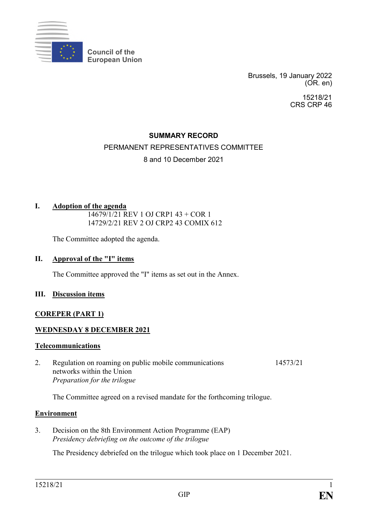

Brussels, 19 January 2022 (OR. en)

> 15218/21 CRS CRP 46

### **SUMMARY RECORD**

# PERMANENT REPRESENTATIVES COMMITTEE

### 8 and 10 December 2021

### **I. Adoption of the agenda**

14679/1/21 REV 1 OJ CRP1 43 + COR 1 14729/2/21 REV 2 OJ CRP2 43 COMIX 612

The Committee adopted the agenda.

#### **II. Approval of the "I" items**

The Committee approved the "I" items as set out in the Annex.

#### **III. Discussion items**

#### **COREPER (PART 1)**

### **WEDNESDAY 8 DECEMBER 2021**

#### **Telecommunications**

2. Regulation on roaming on public mobile communications networks within the Union *Preparation for the trilogue* 14573/21

The Committee agreed on a revised mandate for the forthcoming trilogue.

#### **Environment**

3. Decision on the 8th Environment Action Programme (EAP) *Presidency debriefing on the outcome of the trilogue*

The Presidency debriefed on the trilogue which took place on 1 December 2021.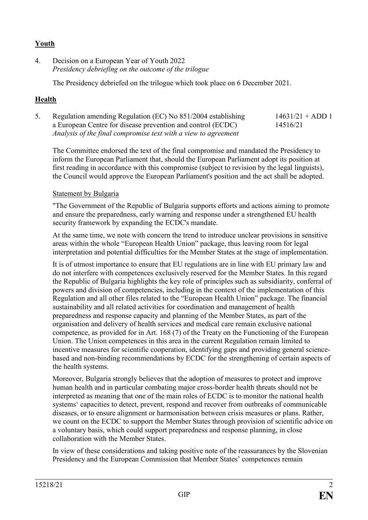## **Youth**

4. Decision on a European Year of Youth 2022 *Presidency debriefing on the outcome of the trilogue*

The Presidency debriefed on the trilogue which took place on 6 December 2021.

## **Health**

5. Regulation amending Regulation (EC) No 851/2004 establishing a European Centre for disease prevention and control (ECDC) *Analysis of the final compromise text with a view to agreement*  $14631/21 + ADD 1$ 14516/21

The Committee endorsed the text of the final compromise and mandated the Presidency to inform the European Parliament that, should the European Parliament adopt its position at first reading in accordance with this compromise (subject to revision by the legal linguists), the Council would approve the European Parliament's position and the act shall be adopted.

### Statement by Bulgaria

"The Government of the Republic of Bulgaria supports efforts and actions aiming to promote and ensure the preparedness, early warning and response under a strengthened EU health security framework by expanding the ECDC's mandate.

At the same time, we note with concern the trend to introduce unclear provisions in sensitive areas within the whole "European Health Union" package, thus leaving room for legal interpretation and potential difficulties for the Member States at the stage of implementation.

It is of utmost importance to ensure that EU regulations are in line with EU primary law and do not interfere with competences exclusively reserved for the Member States. In this regard the Republic of Bulgaria highlights the key role of principles such as subsidiarity, conferral of powers and division of competencies, including in the context of the implementation of this Regulation and all other files related to the "European Health Union" package. Тhe financial sustainability and all related activities for coordination and management of health preparedness and response capacity and planning of the Member States, as part of the organisation and delivery of health services and medical care remain exclusive national competence, as provided for in Art. 168 (7) of the Treaty on the Functioning of the European Union. The Union competences in this area in the current Regulation remain limited to incentive measures for scientific cooperation, identifying gaps and providing general sciencebased and non-binding recommendations by ECDC for the strengthening of certain aspects of the health systems.

Moreover, Bulgaria strongly believes that the adoption of measures to protect and improve human health and in particular combating major cross-border health threats should not be interpreted as meaning that one of the main roles of ECDC is to monitor the national health systems' capacities to detect, prevent, respond and recover from outbreaks of communicable diseases, or to ensure alignment or harmonisation between crisis measures or plans. Rather, we count on the ECDC to support the Member States through provision of scientific advice on a voluntary basis, which could support preparedness and response planning, in close collaboration with the Member States.

In view of these considerations and taking positive note of the reassurances by the Slovenian Presidency and the European Commission that Member States' competences remain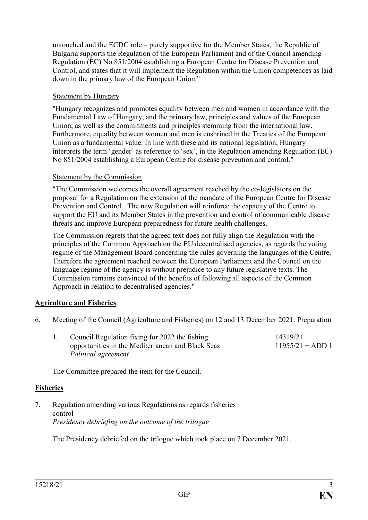untouched and the ECDC role – purely supportive for the Member States, the Republic of Bulgaria supports the Regulation of the European Parliament and of the Council amending Regulation (EC) No 851/2004 establishing a European Centre for Disease Prevention and Control, and states that it will implement the Regulation within the Union competences as laid down in the primary law of the European Union."

### Statement by Hungary

"Hungary recognizes and promotes equality between men and women in accordance with the Fundamental Law of Hungary, and the primary law, principles and values of the European Union, as well as the commitments and principles stemming from the international law. Furthermore, equality between women and men is enshrined in the Treaties of the European Union as a fundamental value. In line with these and its national legislation, Hungary interprets the term 'gender' as reference to 'sex', in the Regulation amending Regulation (EC) No 851/2004 establishing a European Centre for disease prevention and control."

### Statement by the Commission

"The Commission welcomes the overall agreement reached by the co-legislators on the proposal for a Regulation on the extension of the mandate of the European Centre for Disease Prevention and Control. The new Regulation will reinforce the capacity of the Centre to support the EU and its Member States in the prevention and control of communicable disease threats and improve European preparedness for future health challenges.

The Commission regrets that the agreed text does not fully align the Regulation with the principles of the Common Approach on the EU decentralised agencies, as regards the voting regime of the Management Board concerning the rules governing the languages of the Centre. Therefore the agreement reached between the European Parliament and the Council on the language regime of the agency is without prejudice to any future legislative texts. The Commission remains convinced of the benefits of following all aspects of the Common Approach in relation to decentralised agencies."

### **Agriculture and Fisheries**

6. Meeting of the Council (Agriculture and Fisheries) on 12 and 13 December 2021: Preparation

|  | Council Regulation fixing for 2022 the fishing    | 14319/21           |  |
|--|---------------------------------------------------|--------------------|--|
|  | opportunities in the Mediterranean and Black Seas | $11955/21 + ADD 1$ |  |
|  | Political agreement                               |                    |  |

The Committee prepared the item for the Council.

#### **Fisheries**

7. Regulation amending various Regulations as regards fisheries control *Presidency debriefing on the outcome of the trilogue*

The Presidency debriefed on the trilogue which took place on 7 December 2021.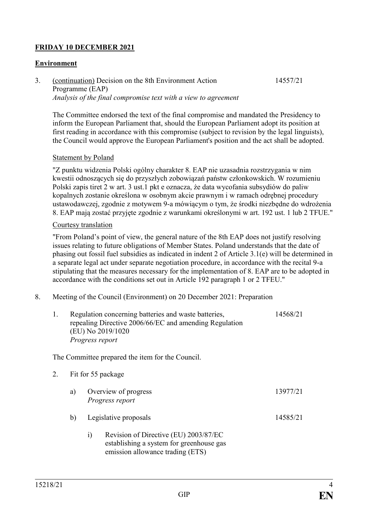## **FRIDAY 10 DECEMBER 2021**

### **Environment**

3. (continuation) Decision on the 8th Environment Action Programme (EAP) *Analysis of the final compromise text with a view to agreement* 14557/21

The Committee endorsed the text of the final compromise and mandated the Presidency to inform the European Parliament that, should the European Parliament adopt its position at first reading in accordance with this compromise (subject to revision by the legal linguists), the Council would approve the European Parliament's position and the act shall be adopted.

#### **Statement by Poland**

"Z punktu widzenia Polski ogólny charakter 8. EAP nie uzasadnia rozstrzygania w nim kwestii odnoszących się do przyszłych zobowiązań państw członkowskich. W rozumieniu Polski zapis tiret 2 w art. 3 ust.1 pkt e oznacza, że data wycofania subsydiów do paliw kopalnych zostanie określona w osobnym akcie prawnym i w ramach odrębnej procedury ustawodawczej, zgodnie z motywem 9-a mówiącym o tym, że środki niezbędne do wdrożenia 8. EAP mają zostać przyjęte zgodnie z warunkami określonymi w art. 192 ust. 1 lub 2 TFUE."

#### Courtesy translation

"From Poland's point of view, the general nature of the 8th EAP does not justify resolving issues relating to future obligations of Member States. Poland understands that the date of phasing out fossil fuel subsidies as indicated in indent 2 of Article 3.1(e) will be determined in a separate legal act under separate negotiation procedure, in accordance with the recital 9-a stipulating that the measures necessary for the implementation of 8. EAP are to be adopted in accordance with the conditions set out in Article 192 paragraph 1 or 2 TFEU."

8. Meeting of the Council (Environment) on 20 December 2021: Preparation

| 1. |    | (EU) No 2019/1020<br>Progress report    | Regulation concerning batteries and waste batteries,<br>repealing Directive 2006/66/EC and amending Regulation        | 14568/21 |
|----|----|-----------------------------------------|-----------------------------------------------------------------------------------------------------------------------|----------|
|    |    |                                         | The Committee prepared the item for the Council.                                                                      |          |
| 2. |    | Fit for 55 package                      |                                                                                                                       |          |
|    | a) | Overview of progress<br>Progress report |                                                                                                                       | 13977/21 |
|    | b) | Legislative proposals                   |                                                                                                                       | 14585/21 |
|    |    | $\mathbf{i}$                            | Revision of Directive (EU) 2003/87/EC<br>establishing a system for greenhouse gas<br>emission allowance trading (ETS) |          |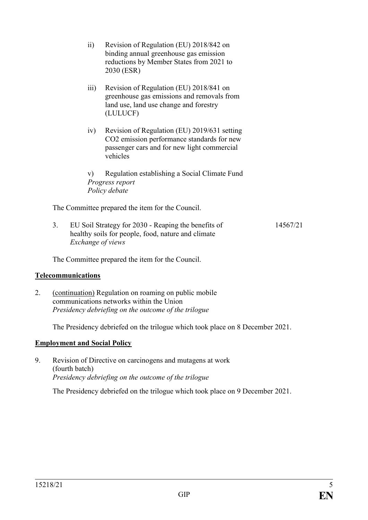|    | $\overline{ii}$    | Revision of Regulation (EU) 2018/842 on<br>binding annual greenhouse gas emission<br>reductions by Member States from 2021 to<br>2030 (ESR)           |          |
|----|--------------------|-------------------------------------------------------------------------------------------------------------------------------------------------------|----------|
|    | $\overline{111}$ ) | Revision of Regulation (EU) 2018/841 on<br>greenhouse gas emissions and removals from<br>land use, land use change and forestry<br>(LULUCF)           |          |
|    | iv)                | Revision of Regulation (EU) 2019/631 setting<br>CO2 emission performance standards for new<br>passenger cars and for new light commercial<br>vehicles |          |
|    | V)                 | Regulation establishing a Social Climate Fund<br>Progress report<br>Policy debate                                                                     |          |
|    |                    | The Committee prepared the item for the Council.                                                                                                      |          |
| 3. |                    | EU Soil Strategy for 2030 - Reaping the benefits of<br>healthy soils for people, food, nature and climate<br>Exchange of views                        | 14567/21 |

The Committee prepared the item for the Council.

#### **Telecommunications**

2. (continuation) Regulation on roaming on public mobile communications networks within the Union *Presidency debriefing on the outcome of the trilogue*

The Presidency debriefed on the trilogue which took place on 8 December 2021.

### **Employment and Social Policy**

9. Revision of Directive on carcinogens and mutagens at work (fourth batch) *Presidency debriefing on the outcome of the trilogue*

The Presidency debriefed on the trilogue which took place on 9 December 2021.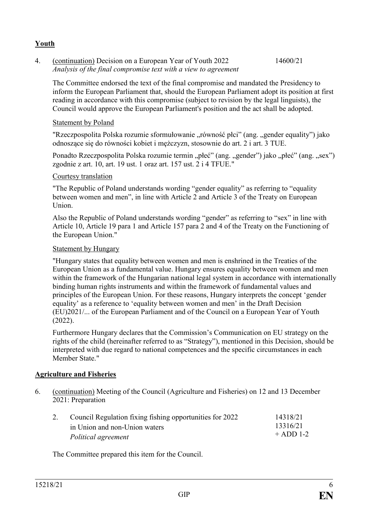### **Youth**

4. (continuation) Decision on a European Year of Youth 2022 *Analysis of the final compromise text with a view to agreement*  14600/21

The Committee endorsed the text of the final compromise and mandated the Presidency to inform the European Parliament that, should the European Parliament adopt its position at first reading in accordance with this compromise (subject to revision by the legal linguists), the Council would approve the European Parliament's position and the act shall be adopted.

### Statement by Poland

"Rzeczpospolita Polska rozumie sformułowanie "równość płci" (ang. "gender equality") jako odnoszące się do równości kobiet i mężczyzn, stosownie do art. 2 i art. 3 TUE.

Ponadto Rzeczpospolita Polska rozumie termin "płeć" (ang. "gender") jako "płeć" (ang. "sex") zgodnie z art. 10, art. 19 ust. 1 oraz art. 157 ust. 2 i 4 TFUE."

### Courtesy translation

"The Republic of Poland understands wording "gender equality" as referring to "equality between women and men", in line with Article 2 and Article 3 of the Treaty on European Union.

Also the Republic of Poland understands wording "gender" as referring to "sex" in line with Article 10, Article 19 para 1 and Article 157 para 2 and 4 of the Treaty on the Functioning of the European Union."

### Statement by Hungary

"Hungary states that equality between women and men is enshrined in the Treaties of the European Union as a fundamental value. Hungary ensures equality between women and men within the framework of the Hungarian national legal system in accordance with internationally binding human rights instruments and within the framework of fundamental values and principles of the European Union. For these reasons, Hungary interprets the concept 'gender equality' as a reference to 'equality between women and men' in the Draft Decision (EU)2021/... of the European Parliament and of the Council on a European Year of Youth (2022).

Furthermore Hungary declares that the Commission's Communication on EU strategy on the rights of the child (hereinafter referred to as "Strategy"), mentioned in this Decision, should be interpreted with due regard to national competences and the specific circumstances in each Member State."

### **Agriculture and Fisheries**

6. (continuation) Meeting of the Council (Agriculture and Fisheries) on 12 and 13 December 2021: Preparation

| 2. | Council Regulation fixing fishing opportunities for 2022 | 14318/21    |
|----|----------------------------------------------------------|-------------|
|    | in Union and non-Union waters                            | 13316/21    |
|    | Political agreement                                      | $+$ ADD 1-2 |

The Committee prepared this item for the Council.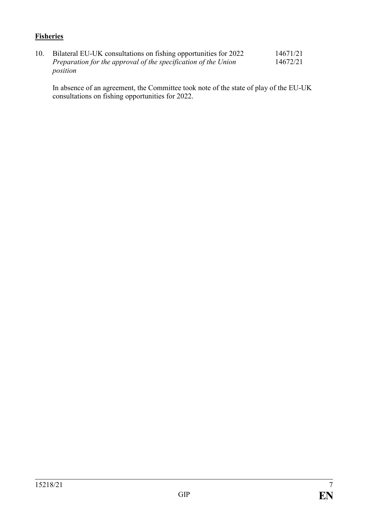## **Fisheries**

10. Bilateral EU-UK consultations on fishing opportunities for 2022 *Preparation for the approval of the specification of the Union position* 14671/21 14672/21

In absence of an agreement, the Committee took note of the state of play of the EU-UK consultations on fishing opportunities for 2022.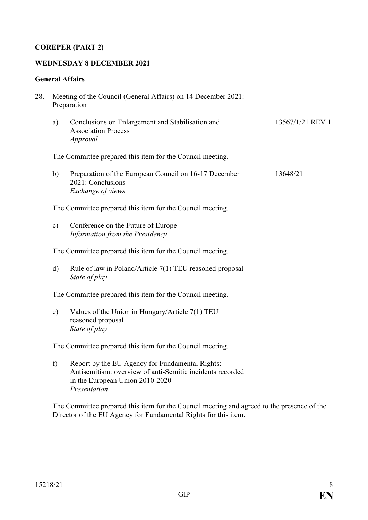### **COREPER (PART 2)**

#### **WEDNESDAY 8 DECEMBER 2021**

#### **General Affairs**

- 28. Meeting of the Council (General Affairs) on 14 December 2021: Preparation
	- a) Conclusions on Enlargement and Stabilisation and Association Process *Approval* 13567/1/21 REV 1

The Committee prepared this item for the Council meeting.

b) Preparation of the European Council on 16-17 December 2021: Conclusions *Exchange of views* 13648/21

The Committee prepared this item for the Council meeting.

c) Conference on the Future of Europe *Information from the Presidency*

The Committee prepared this item for the Council meeting.

d) Rule of law in Poland/Article 7(1) TEU reasoned proposal *State of play*

The Committee prepared this item for the Council meeting.

e) Values of the Union in Hungary/Article 7(1) TEU reasoned proposal *State of play*

The Committee prepared this item for the Council meeting.

f) Report by the EU Agency for Fundamental Rights: Antisemitism: overview of anti-Semitic incidents recorded in the European Union 2010-2020 *Presentation*

The Committee prepared this item for the Council meeting and agreed to the presence of the Director of the EU Agency for Fundamental Rights for this item.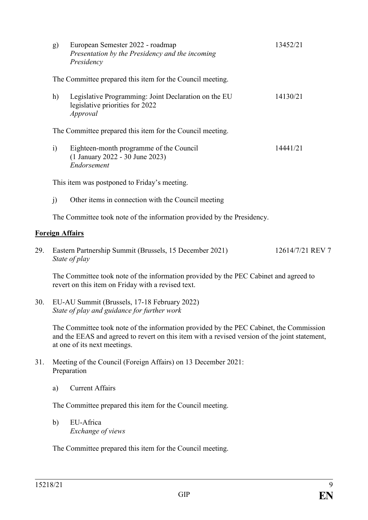| g)                                                                     | European Semester 2022 - roadmap<br>Presentation by the Presidency and the incoming<br>Presidency   | 13452/21 |  |  |
|------------------------------------------------------------------------|-----------------------------------------------------------------------------------------------------|----------|--|--|
|                                                                        | The Committee prepared this item for the Council meeting.                                           |          |  |  |
| h)                                                                     | Legislative Programming: Joint Declaration on the EU<br>legislative priorities for 2022<br>Approval | 14130/21 |  |  |
|                                                                        | The Committee prepared this item for the Council meeting.                                           |          |  |  |
| $\ddot{1}$                                                             | Eighteen-month programme of the Council<br>(1 January 2022 - 30 June 2023)<br>Endorsement           | 14441/21 |  |  |
| This item was postponed to Friday's meeting.                           |                                                                                                     |          |  |  |
| $\mathbf{I}$                                                           | Other items in connection with the Council meeting                                                  |          |  |  |
| The Committee took note of the information provided by the Presidency. |                                                                                                     |          |  |  |

### **Foreign Affairs**

29. Eastern Partnership Summit (Brussels, 15 December 2021) *State of play* 12614/7/21 REV 7

The Committee took note of the information provided by the PEC Cabinet and agreed to revert on this item on Friday with a revised text.

30. EU-AU Summit (Brussels, 17-18 February 2022) *State of play and guidance for further work*

> The Committee took note of the information provided by the PEC Cabinet, the Commission and the EEAS and agreed to revert on this item with a revised version of the joint statement, at one of its next meetings.

- 31. Meeting of the Council (Foreign Affairs) on 13 December 2021: Preparation
	- a) Current Affairs

The Committee prepared this item for the Council meeting.

b) EU-Africa *Exchange of views*

The Committee prepared this item for the Council meeting.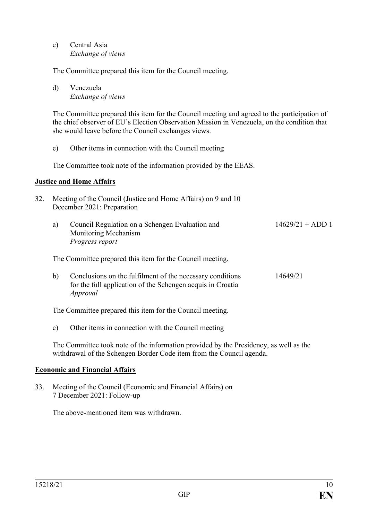c) Central Asia *Exchange of views*

The Committee prepared this item for the Council meeting.

d) Venezuela *Exchange of views*

The Committee prepared this item for the Council meeting and agreed to the participation of the chief observer of EU's Election Observation Mission in Venezuela, on the condition that she would leave before the Council exchanges views.

e) Other items in connection with the Council meeting

The Committee took note of the information provided by the EEAS.

#### **Justice and Home Affairs**

- 32. Meeting of the Council (Justice and Home Affairs) on 9 and 10 December 2021: Preparation
	- a) Council Regulation on a Schengen Evaluation and Monitoring Mechanism *Progress report*  $14629/21 + ADD 1$

The Committee prepared this item for the Council meeting.

b) Conclusions on the fulfilment of the necessary conditions for the full application of the Schengen acquis in Croatia *Approval* 14649/21

The Committee prepared this item for the Council meeting.

c) Other items in connection with the Council meeting

The Committee took note of the information provided by the Presidency, as well as the withdrawal of the Schengen Border Code item from the Council agenda.

#### **Economic and Financial Affairs**

33. Meeting of the Council (Economic and Financial Affairs) on 7 December 2021: Follow-up

The above-mentioned item was withdrawn.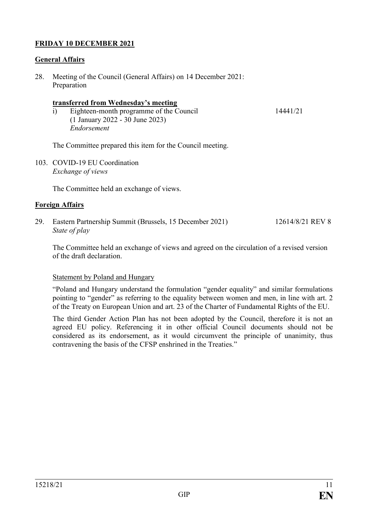### **FRIDAY 10 DECEMBER 2021**

### **General Affairs**

28. Meeting of the Council (General Affairs) on 14 December 2021: Preparation

#### **transferred from Wednesday's meeting**

i) Eighteen-month programme of the Council (1 January 2022 - 30 June 2023) *Endorsement*

14441/21

The Committee prepared this item for the Council meeting.

103. COVID-19 EU Coordination *Exchange of views*

The Committee held an exchange of views.

### **Foreign Affairs**

29. Eastern Partnership Summit (Brussels, 15 December 2021) *State of play* 12614/8/21 REV 8

The Committee held an exchange of views and agreed on the circulation of a revised version of the draft declaration.

#### Statement by Poland and Hungary

"Poland and Hungary understand the formulation "gender equality" and similar formulations pointing to "gender" as referring to the equality between women and men, in line with art. 2 of the Treaty on European Union and art. 23 of the Charter of Fundamental Rights of the EU.

The third Gender Action Plan has not been adopted by the Council, therefore it is not an agreed EU policy. Referencing it in other official Council documents should not be considered as its endorsement, as it would circumvent the principle of unanimity, thus contravening the basis of the CFSP enshrined in the Treaties."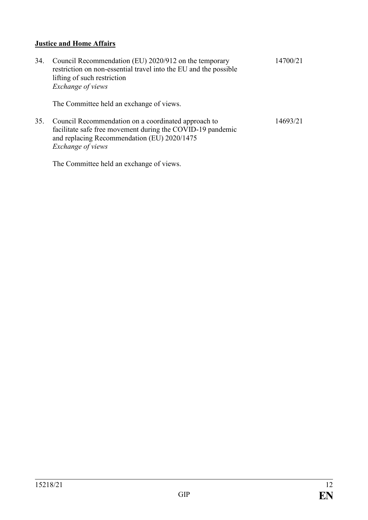### **Justice and Home Affairs**

34. Council Recommendation (EU) 2020/912 on the temporary restriction on non-essential travel into the EU and the possible lifting of such restriction *Exchange of views* 14700/21

The Committee held an exchange of views.

35. Council Recommendation on a coordinated approach to facilitate safe free movement during the COVID-19 pandemic and replacing Recommendation (EU) 2020/1475 *Exchange of views* 14693/21

The Committee held an exchange of views.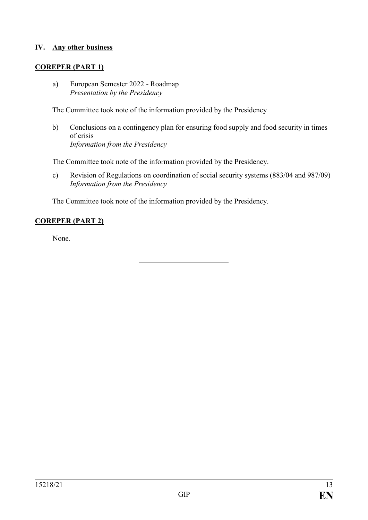### **IV. Any other business**

### **COREPER (PART 1)**

a) European Semester 2022 - Roadmap *Presentation by the Presidency*

The Committee took note of the information provided by the Presidency

b) Conclusions on a contingency plan for ensuring food supply and food security in times of crisis *Information from the Presidency*

The Committee took note of the information provided by the Presidency.

c) Revision of Regulations on coordination of social security systems (883/04 and 987/09) *Information from the Presidency*

The Committee took note of the information provided by the Presidency.

### **COREPER (PART 2)**

None.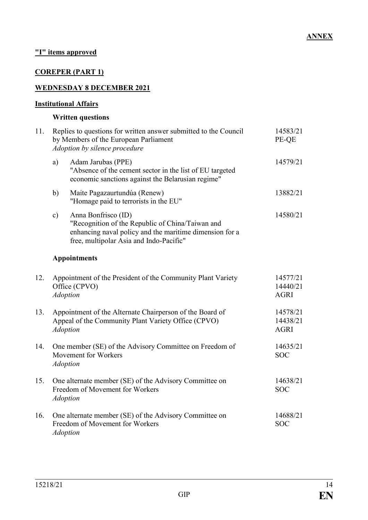## **"I" items approved**

## **COREPER (PART 1)**

### **WEDNESDAY 8 DECEMBER 2021**

### **Institutional Affairs**

### **Written questions**

| 11. |                                                                                                                                    | Replies to questions for written answer submitted to the Council<br>by Members of the European Parliament<br>Adoption by silence procedure                                    | 14583/21<br>PE-QE                   |
|-----|------------------------------------------------------------------------------------------------------------------------------------|-------------------------------------------------------------------------------------------------------------------------------------------------------------------------------|-------------------------------------|
|     | a)                                                                                                                                 | Adam Jarubas (PPE)<br>"Absence of the cement sector in the list of EU targeted<br>economic sanctions against the Belarusian regime"                                           | 14579/21                            |
|     | b)                                                                                                                                 | Maite Pagazaurtundúa (Renew)<br>"Homage paid to terrorists in the EU"                                                                                                         | 13882/21                            |
|     | $\mathbf{c})$                                                                                                                      | Anna Bonfrisco (ID)<br>"Recognition of the Republic of China/Taiwan and<br>enhancing naval policy and the maritime dimension for a<br>free, multipolar Asia and Indo-Pacific" | 14580/21                            |
|     |                                                                                                                                    | <b>Appointments</b>                                                                                                                                                           |                                     |
| 12. |                                                                                                                                    | Appointment of the President of the Community Plant Variety<br>Office (CPVO)<br><b>Adoption</b>                                                                               | 14577/21<br>14440/21<br><b>AGRI</b> |
| 13. | Appointment of the Alternate Chairperson of the Board of<br>Appeal of the Community Plant Variety Office (CPVO)<br><b>Adoption</b> |                                                                                                                                                                               | 14578/21<br>14438/21<br><b>AGRI</b> |
| 14. |                                                                                                                                    | One member (SE) of the Advisory Committee on Freedom of<br>Movement for Workers<br><b>Adoption</b>                                                                            | 14635/21<br><b>SOC</b>              |
| 15. |                                                                                                                                    | One alternate member (SE) of the Advisory Committee on<br>Freedom of Movement for Workers<br><b>Adoption</b>                                                                  | 14638/21<br><b>SOC</b>              |
| 16. |                                                                                                                                    | One alternate member (SE) of the Advisory Committee on<br>Freedom of Movement for Workers<br><b>Adoption</b>                                                                  | 14688/21<br><b>SOC</b>              |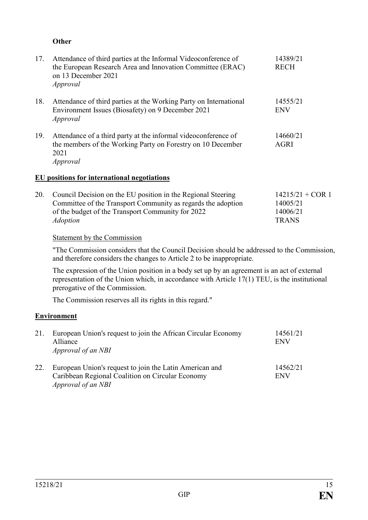### **Other**

| 17. | Attendance of third parties at the Informal Videoconference of<br>the European Research Area and Innovation Committee (ERAC)<br>on 13 December 2021<br>Approval | 14389/21<br><b>RECH</b> |
|-----|-----------------------------------------------------------------------------------------------------------------------------------------------------------------|-------------------------|
| 18. | Attendance of third parties at the Working Party on International<br>Environment Issues (Biosafety) on 9 December 2021<br>Approval                              | 14555/21<br><b>ENV</b>  |
| 19. | Attendance of a third party at the informal videoconference of<br>the members of the Working Party on Forestry on 10 December<br>2021<br>Approval               | 14660/21<br><b>AGRI</b> |
|     | EU positions for international negotiations                                                                                                                     |                         |
| 20. | Council Decision on the EU position in the Regional Steering                                                                                                    | 14215/21 + COI          |

| 20. Council Decision on the EU position in the Regional Steering | $14215/21 + COR$ 1 |
|------------------------------------------------------------------|--------------------|
| Committee of the Transport Community as regards the adoption     | 14005/21           |
| of the budget of the Transport Community for 2022                | 14006/21           |
| <i>Adoption</i>                                                  | <b>TRANS</b>       |
|                                                                  |                    |

#### Statement by the Commission

"The Commission considers that the Council Decision should be addressed to the Commission, and therefore considers the changes to Article 2 to be inappropriate.

The expression of the Union position in a body set up by an agreement is an act of external representation of the Union which, in accordance with Article 17(1) TEU, is the institutional prerogative of the Commission.

The Commission reserves all its rights in this regard."

### **Environment**

| 21. | European Union's request to join the African Circular Economy<br>Alliance<br>Approval of an NBI                                   | 14561/21<br><b>ENV</b> |
|-----|-----------------------------------------------------------------------------------------------------------------------------------|------------------------|
| 22. | European Union's request to join the Latin American and<br>Caribbean Regional Coalition on Circular Economy<br>Approval of an NBI | 14562/21<br><b>ENV</b> |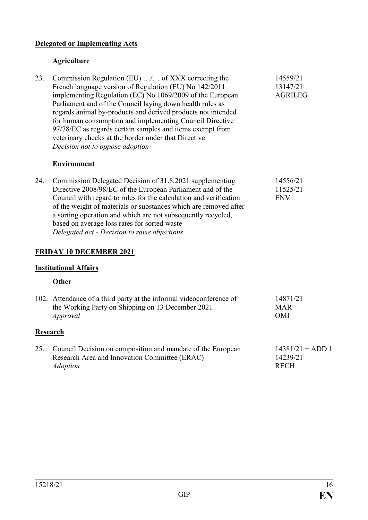### **Delegated or Implementing Acts**

### **Agriculture**

23. Commission Regulation (EU) …/… of XXX correcting the French language version of Regulation (EU) No 142/2011 implementing Regulation (EC) No 1069/2009 of the European Parliament and of the Council laying down health rules as regards animal by-products and derived products not intended for human consumption and implementing Council Directive 97/78/EC as regards certain samples and items exempt from veterinary checks at the border under that Directive *Decision not to oppose adoption* 14559/21 13147/21 AGRILEG

### **Environment**

24. Commission Delegated Decision of 31.8.2021 supplementing Directive 2008/98/EC of the European Parliament and of the Council with regard to rules for the calculation and verification of the weight of materials or substances which are removed after a sorting operation and which are not subsequently recycled, based on average loss rates for sorted waste *Delegated act - Decision to raise objections* 14556/21 11525/21 ENV

### **FRIDAY 10 DECEMBER 2021**

#### **Institutional Affairs**

#### **Other**

|     | 102. Attendance of a third party at the informal videoconference of<br>the Working Party on Shipping on 13 December 2021<br>Approval | 14871/21<br><b>MAR</b><br><b>OMI</b>          |
|-----|--------------------------------------------------------------------------------------------------------------------------------------|-----------------------------------------------|
|     | Research                                                                                                                             |                                               |
| 25. | Council Decision on composition and mandate of the European<br>Research Area and Innovation Committee (ERAC)<br><i>Adoption</i>      | $14381/21 + ADD 1$<br>14239/21<br><b>RECH</b> |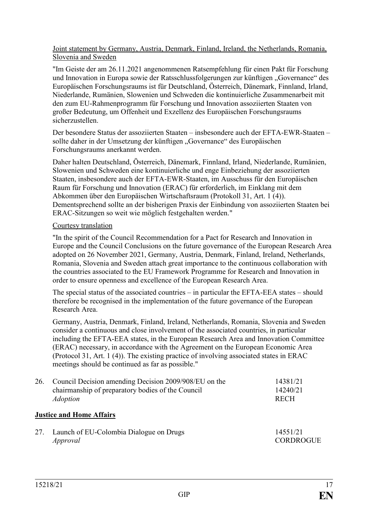Joint statement by Germany, Austria, Denmark, Finland, Ireland, the Netherlands, Romania, Slovenia and Sweden

"Im Geiste der am 26.11.2021 angenommenen Ratsempfehlung für einen Pakt für Forschung und Innovation in Europa sowie der Ratsschlussfolgerungen zur künftigen "Governance" des Europäischen Forschungsraums ist für Deutschland, Österreich, Dänemark, Finnland, Irland, Niederlande, Rumänien, Slowenien und Schweden die kontinuierliche Zusammenarbeit mit den zum EU-Rahmenprogramm für Forschung und Innovation assoziierten Staaten von großer Bedeutung, um Offenheit und Exzellenz des Europäischen Forschungsraums sicherzustellen.

Der besondere Status der assoziierten Staaten – insbesondere auch der EFTA-EWR-Staaten – sollte daher in der Umsetzung der künftigen "Governance" des Europäischen Forschungsraums anerkannt werden.

Daher halten Deutschland, Österreich, Dänemark, Finnland, Irland, Niederlande, Rumänien, Slowenien und Schweden eine kontinuierliche und enge Einbeziehung der assoziierten Staaten, insbesondere auch der EFTA-EWR-Staaten, im Ausschuss für den Europäischen Raum für Forschung und Innovation (ERAC) für erforderlich, im Einklang mit dem Abkommen über den Europäischen Wirtschaftsraum (Protokoll 31, Art. 1 (4)). Dementsprechend sollte an der bisherigen Praxis der Einbindung von assoziierten Staaten bei ERAC-Sitzungen so weit wie möglich festgehalten werden."

### Courtesy translation

"In the spirit of the Council Recommendation for a Pact for Research and Innovation in Europe and the Council Conclusions on the future governance of the European Research Area adopted on 26 November 2021, Germany, Austria, Denmark, Finland, Ireland, Netherlands, Romania, Slovenia and Sweden attach great importance to the continuous collaboration with the countries associated to the EU Framework Programme for Research and Innovation in order to ensure openness and excellence of the European Research Area.

The special status of the associated countries – in particular the EFTA-EEA states – should therefore be recognised in the implementation of the future governance of the European Research Area.

Germany, Austria, Denmark, Finland, Ireland, Netherlands, Romania, Slovenia and Sweden consider a continuous and close involvement of the associated countries, in particular including the EFTA-EEA states, in the European Research Area and Innovation Committee (ERAC) necessary, in accordance with the Agreement on the European Economic Area (Protocol 31, Art. 1 (4)). The existing practice of involving associated states in ERAC meetings should be continued as far as possible."

| 26. | Council Decision amending Decision 2009/908/EU on the<br>chairmanship of preparatory bodies of the Council<br><i>Adoption</i> | 14381/21<br>14240/21<br><b>RECH</b> |
|-----|-------------------------------------------------------------------------------------------------------------------------------|-------------------------------------|
|     | <b>Justice and Home Affairs</b>                                                                                               |                                     |
| 27. | Launch of EU-Colombia Dialogue on Drugs                                                                                       | 14551/21                            |

14551/21 CORDROGUE

*Approval*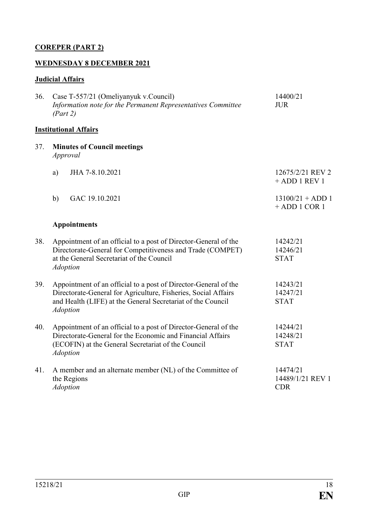## **COREPER (PART 2)**

### **WEDNESDAY 8 DECEMBER 2021**

# **Judicial Affairs**

| 36. | Case T-557/21 (Omeliyanyuk v.Council)<br>Information note for the Permanent Representatives Committee<br>(Part 2)                                                                                                   | 14400/21<br><b>JUR</b>                     |
|-----|---------------------------------------------------------------------------------------------------------------------------------------------------------------------------------------------------------------------|--------------------------------------------|
|     | <b>Institutional Affairs</b>                                                                                                                                                                                        |                                            |
| 37. | <b>Minutes of Council meetings</b><br>Approval                                                                                                                                                                      |                                            |
|     | JHA 7-8.10.2021<br>a)                                                                                                                                                                                               | 12675/2/21 REV 2<br>$+$ ADD 1 REV 1        |
|     | GAC 19.10.2021<br>b)                                                                                                                                                                                                | $13100/21 + ADD 1$<br>$+$ ADD 1 COR 1      |
|     | <b>Appointments</b>                                                                                                                                                                                                 |                                            |
| 38. | Appointment of an official to a post of Director-General of the<br>Directorate-General for Competitiveness and Trade (COMPET)<br>at the General Secretariat of the Council<br><b>Adoption</b>                       | 14242/21<br>14246/21<br><b>STAT</b>        |
| 39. | Appointment of an official to a post of Director-General of the<br>Directorate-General for Agriculture, Fisheries, Social Affairs<br>and Health (LIFE) at the General Secretariat of the Council<br><b>Adoption</b> | 14243/21<br>14247/21<br><b>STAT</b>        |
| 40. | Appointment of an official to a post of Director-General of the<br>Directorate-General for the Economic and Financial Affairs<br>(ECOFIN) at the General Secretariat of the Council<br><b>Adoption</b>              | 14244/21<br>14248/21<br><b>STAT</b>        |
| 41. | A member and an alternate member (NL) of the Committee of<br>the Regions<br><b>Adoption</b>                                                                                                                         | 14474/21<br>14489/1/21 REV 1<br><b>CDR</b> |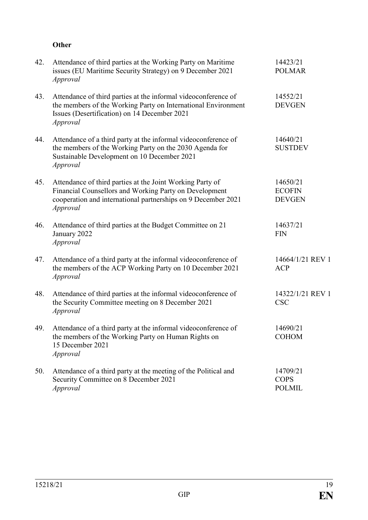## **Other**

| 42. | Attendance of third parties at the Working Party on Maritime<br>issues (EU Maritime Security Strategy) on 9 December 2021<br><i>Approval</i>                                                     | 14423/21<br><b>POLMAR</b>                  |
|-----|--------------------------------------------------------------------------------------------------------------------------------------------------------------------------------------------------|--------------------------------------------|
| 43. | Attendance of third parties at the informal videoconference of<br>the members of the Working Party on International Environment<br>Issues (Desertification) on 14 December 2021<br>Approval      | 14552/21<br><b>DEVGEN</b>                  |
| 44. | Attendance of a third party at the informal videoconference of<br>the members of the Working Party on the 2030 Agenda for<br>Sustainable Development on 10 December 2021<br>Approval             | 14640/21<br><b>SUSTDEV</b>                 |
| 45. | Attendance of third parties at the Joint Working Party of<br>Financial Counsellors and Working Party on Development<br>cooperation and international partnerships on 9 December 2021<br>Approval | 14650/21<br><b>ECOFIN</b><br><b>DEVGEN</b> |
| 46. | Attendance of third parties at the Budget Committee on 21<br>January 2022<br>Approval                                                                                                            | 14637/21<br><b>FIN</b>                     |
| 47. | Attendance of a third party at the informal videoconference of<br>the members of the ACP Working Party on 10 December 2021<br>Approval                                                           | 14664/1/21 REV 1<br><b>ACP</b>             |
| 48. | Attendance of third parties at the informal videoconference of<br>the Security Committee meeting on 8 December 2021<br>Approval                                                                  | 14322/1/21 REV 1<br><b>CSC</b>             |
| 49. | Attendance of a third party at the informal videoconference of<br>the members of the Working Party on Human Rights on<br>15 December 2021<br>Approval                                            | 14690/21<br><b>COHOM</b>                   |
| 50. | Attendance of a third party at the meeting of the Political and<br>Security Committee on 8 December 2021<br><i>Approval</i>                                                                      | 14709/21<br><b>COPS</b><br><b>POLMIL</b>   |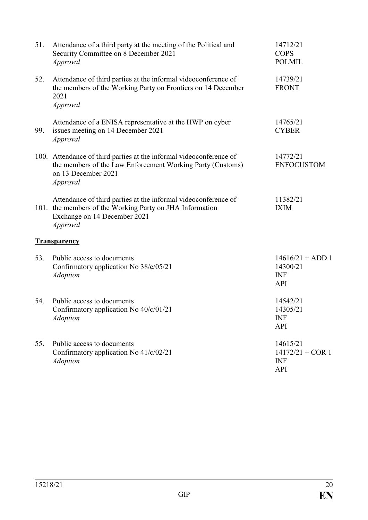| 51. | Attendance of a third party at the meeting of the Political and<br>Security Committee on 8 December 2021<br>Approval                                                   | 14712/21<br><b>COPS</b><br><b>POLMIL</b>                   |
|-----|------------------------------------------------------------------------------------------------------------------------------------------------------------------------|------------------------------------------------------------|
| 52. | Attendance of third parties at the informal videoconference of<br>the members of the Working Party on Frontiers on 14 December<br>2021<br>Approval                     | 14739/21<br><b>FRONT</b>                                   |
| 99. | Attendance of a ENISA representative at the HWP on cyber<br>issues meeting on 14 December 2021<br>Approval                                                             | 14765/21<br><b>CYBER</b>                                   |
|     | 100. Attendance of third parties at the informal videoconference of<br>the members of the Law Enforcement Working Party (Customs)<br>on 13 December 2021<br>Approval   | 14772/21<br><b>ENFOCUSTOM</b>                              |
|     | Attendance of third parties at the informal videoconference of<br>101. the members of the Working Party on JHA Information<br>Exchange on 14 December 2021<br>Approval | 11382/21<br><b>IXIM</b>                                    |
|     | <b>Transparency</b>                                                                                                                                                    |                                                            |
| 53. | Public access to documents<br>Confirmatory application No 38/c/05/21<br><b>Adoption</b>                                                                                | $14616/21 + ADD 1$<br>14300/21<br><b>INF</b><br>API        |
| 54. | Public access to documents<br>Confirmatory application No 40/c/01/21<br><b>Adoption</b>                                                                                | 14542/21<br>14305/21<br><b>INF</b><br><b>API</b>           |
| 55. | Public access to documents<br>Confirmatory application No 41/c/02/21<br><b>Adoption</b>                                                                                | 14615/21<br>$14172/21 + COR$ 1<br><b>INF</b><br><b>API</b> |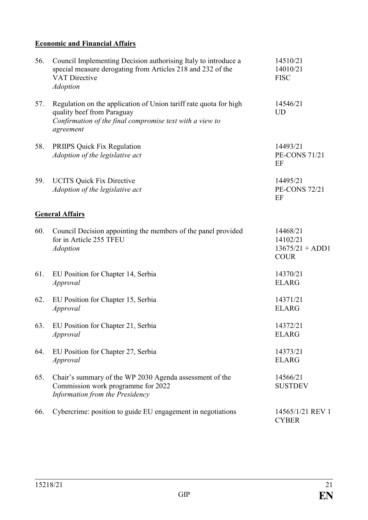## **Economic and Financial Affairs**

| 56. | Council Implementing Decision authorising Italy to introduce a<br>special measure derogating from Articles 218 and 232 of the<br><b>VAT Directive</b><br><b>Adoption</b> | 14510/21<br>14010/21<br><b>FISC</b>                      |
|-----|--------------------------------------------------------------------------------------------------------------------------------------------------------------------------|----------------------------------------------------------|
| 57. | Regulation on the application of Union tariff rate quota for high<br>quality beef from Paraguay<br>Confirmation of the final compromise text with a view to<br>agreement | 14546/21<br><b>UD</b>                                    |
| 58. | <b>PRIIPS Quick Fix Regulation</b><br>Adoption of the legislative act                                                                                                    | 14493/21<br><b>PE-CONS 71/21</b><br>EF                   |
| 59. | <b>UCITS Quick Fix Directive</b><br>Adoption of the legislative act                                                                                                      | 14495/21<br><b>PE-CONS 72/21</b><br>EF                   |
|     | <b>General Affairs</b>                                                                                                                                                   |                                                          |
| 60. | Council Decision appointing the members of the panel provided<br>for in Article 255 TFEU<br><b>Adoption</b>                                                              | 14468/21<br>14102/21<br>$13675/21 + ADD1$<br><b>COUR</b> |
| 61. | EU Position for Chapter 14, Serbia<br>Approval                                                                                                                           | 14370/21<br><b>ELARG</b>                                 |
| 62. | EU Position for Chapter 15, Serbia<br>Approval                                                                                                                           | 14371/21<br><b>ELARG</b>                                 |
| 63. | EU Position for Chapter 21, Serbia<br>Approval                                                                                                                           | 14372/21<br><b>ELARG</b>                                 |
| 64. | EU Position for Chapter 27, Serbia<br>Approval                                                                                                                           | 14373/21<br><b>ELARG</b>                                 |
| 65. | Chair's summary of the WP 2030 Agenda assessment of the<br>Commission work programme for 2022<br>Information from the Presidency                                         | 14566/21<br><b>SUSTDEV</b>                               |
| 66. | Cybercrime: position to guide EU engagement in negotiations                                                                                                              | 14565/1/21 REV 1<br><b>CYBER</b>                         |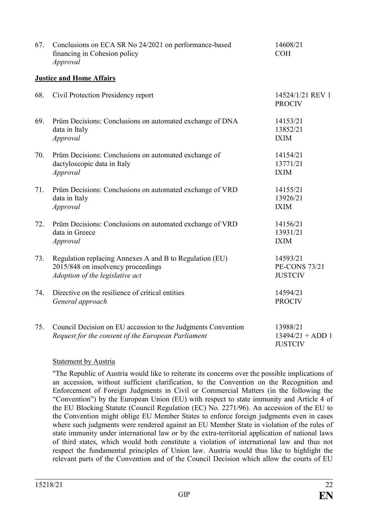| 67. | Conclusions on ECA SR No 24/2021 on performance-based<br>financing in Cohesion policy<br>Approval                                | 14608/21<br><b>COH</b>                             |
|-----|----------------------------------------------------------------------------------------------------------------------------------|----------------------------------------------------|
|     | <b>Justice and Home Affairs</b>                                                                                                  |                                                    |
| 68. | Civil Protection Presidency report                                                                                               | 14524/1/21 REV 1<br><b>PROCIV</b>                  |
| 69. | Prüm Decisions: Conclusions on automated exchange of DNA<br>data in Italy<br>Approval                                            | 14153/21<br>13852/21<br><b>IXIM</b>                |
| 70. | Prüm Decisions: Conclusions on automated exchange of<br>dactyloscopic data in Italy<br><i>Approval</i>                           | 14154/21<br>13771/21<br><b>IXIM</b>                |
| 71. | Prüm Decisions: Conclusions on automated exchange of VRD<br>data in Italy<br>Approval                                            | 14155/21<br>13926/21<br><b>IXIM</b>                |
| 72. | Prüm Decisions: Conclusions on automated exchange of VRD<br>data in Greece<br>Approval                                           | 14156/21<br>13931/21<br><b>IXIM</b>                |
| 73. | Regulation replacing Annexes A and B to Regulation (EU)<br>2015/848 on insolvency proceedings<br>Adoption of the legislative act | 14593/21<br><b>PE-CONS 73/21</b><br><b>JUSTCIV</b> |
| 74. | Directive on the resilience of critical entities<br>General approach                                                             | 14594/21<br><b>PROCIV</b>                          |
| 75. | Council Decision on EU accession to the Judgments Convention<br>Request for the consent of the European Parliament               | 13988/21<br>$13494/21 + ADD 1$<br><b>JUSTCIV</b>   |

### **Statement by Austria**

"The Republic of Austria would like to reiterate its concerns over the possible implications of an accession, without sufficient clarification, to the Convention on the Recognition and Enforcement of Foreign Judgments in Civil or Commercial Matters (in the following the "Convention") by the European Union (EU) with respect to state immunity and Article 4 of the EU Blocking Statute (Council Regulation (EC) No. 2271/96). An accession of the EU to the Convention might oblige EU Member States to enforce foreign judgments even in cases where such judgments were rendered against an EU Member State in violation of the rules of state immunity under international law or by the extra-territorial application of national laws of third states, which would both constitute a violation of international law and thus not respect the fundamental principles of Union law. Austria would thus like to highlight the relevant parts of the Convention and of the Council Decision which allow the courts of EU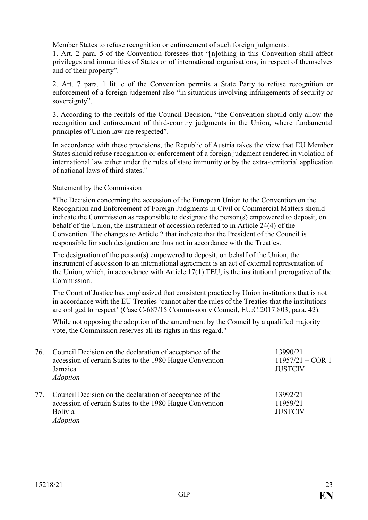Member States to refuse recognition or enforcement of such foreign judgments:

1. Art. 2 para. 5 of the Convention foresees that "[n]othing in this Convention shall affect privileges and immunities of States or of international organisations, in respect of themselves and of their property".

2. Art. 7 para. 1 lit. c of the Convention permits a State Party to refuse recognition or enforcement of a foreign judgement also "in situations involving infringements of security or sovereignty".

3. According to the recitals of the Council Decision, "the Convention should only allow the recognition and enforcement of third-country judgments in the Union, where fundamental principles of Union law are respected".

In accordance with these provisions, the Republic of Austria takes the view that EU Member States should refuse recognition or enforcement of a foreign judgment rendered in violation of international law either under the rules of state immunity or by the extra-territorial application of national laws of third states."

### Statement by the Commission

"The Decision concerning the accession of the European Union to the Convention on the Recognition and Enforcement of Foreign Judgments in Civil or Commercial Matters should indicate the Commission as responsible to designate the person(s) empowered to deposit, on behalf of the Union, the instrument of accession referred to in Article 24(4) of the Convention. The changes to Article 2 that indicate that the President of the Council is responsible for such designation are thus not in accordance with the Treaties.

The designation of the person(s) empowered to deposit, on behalf of the Union, the instrument of accession to an international agreement is an act of external representation of the Union, which, in accordance with Article 17(1) TEU, is the institutional prerogative of the Commission.

The Court of Justice has emphasized that consistent practice by Union institutions that is not in accordance with the EU Treaties 'cannot alter the rules of the Treaties that the institutions are obliged to respect' (Case C-687/15 Commission v Council, EU:C:2017:803, para. 42).

While not opposing the adoption of the amendment by the Council by a qualified majority vote, the Commission reserves all its rights in this regard."

| 76. | Council Decision on the declaration of acceptance of the<br>accession of certain States to the 1980 Hague Convention -<br>Jamaica<br><i>Adoption</i> | 13990/21<br>$11957/21 + COR$ 1<br><b>JUSTCIV</b> |
|-----|------------------------------------------------------------------------------------------------------------------------------------------------------|--------------------------------------------------|
| 77. | Council Decision on the declaration of acceptance of the<br>accession of certain States to the 1980 Hague Convention -<br>Bolivia<br><i>Adoption</i> | 13992/21<br>11959/21<br><b>JUSTCIV</b>           |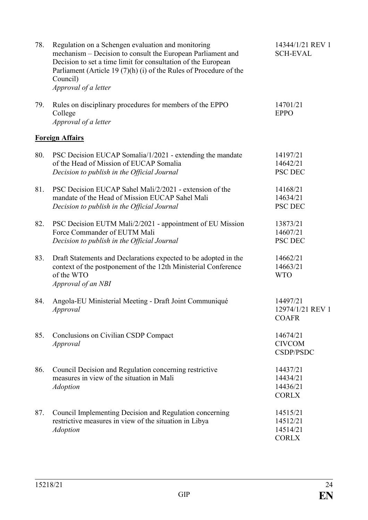| 78. | Regulation on a Schengen evaluation and monitoring<br>mechanism - Decision to consult the European Parliament and<br>Decision to set a time limit for consultation of the European<br>Parliament (Article 19 $(7)(h)$ (i) of the Rules of Procedure of the<br>Council)<br>Approval of a letter | 14344/1/21 REV 1<br><b>SCH-EVAL</b>              |
|-----|------------------------------------------------------------------------------------------------------------------------------------------------------------------------------------------------------------------------------------------------------------------------------------------------|--------------------------------------------------|
| 79. | Rules on disciplinary procedures for members of the EPPO<br>College<br>Approval of a letter                                                                                                                                                                                                    | 14701/21<br><b>EPPO</b>                          |
|     | <b>Foreign Affairs</b>                                                                                                                                                                                                                                                                         |                                                  |
| 80. | PSC Decision EUCAP Somalia/1/2021 - extending the mandate<br>of the Head of Mission of EUCAP Somalia<br>Decision to publish in the Official Journal                                                                                                                                            | 14197/21<br>14642/21<br><b>PSC DEC</b>           |
| 81. | PSC Decision EUCAP Sahel Mali/2/2021 - extension of the<br>mandate of the Head of Mission EUCAP Sahel Mali<br>Decision to publish in the Official Journal                                                                                                                                      | 14168/21<br>14634/21<br><b>PSC DEC</b>           |
| 82. | PSC Decision EUTM Mali/2/2021 - appointment of EU Mission<br>Force Commander of EUTM Mali<br>Decision to publish in the Official Journal                                                                                                                                                       | 13873/21<br>14607/21<br><b>PSC DEC</b>           |
| 83. | Draft Statements and Declarations expected to be adopted in the<br>context of the postponement of the 12th Ministerial Conference<br>of the WTO<br>Approval of an NBI                                                                                                                          | 14662/21<br>14663/21<br><b>WTO</b>               |
| 84. | Angola-EU Ministerial Meeting - Draft Joint Communiqué<br>Approval                                                                                                                                                                                                                             | 14497/21<br>12974/1/21 REV 1<br><b>COAFR</b>     |
| 85. | Conclusions on Civilian CSDP Compact<br>Approval                                                                                                                                                                                                                                               | 14674/21<br><b>CIVCOM</b><br>CSDP/PSDC           |
| 86. | Council Decision and Regulation concerning restrictive<br>measures in view of the situation in Mali<br><b>Adoption</b>                                                                                                                                                                         | 14437/21<br>14434/21<br>14436/21<br><b>CORLX</b> |
| 87. | Council Implementing Decision and Regulation concerning<br>restrictive measures in view of the situation in Libya<br><b>Adoption</b>                                                                                                                                                           | 14515/21<br>14512/21<br>14514/21<br><b>CORLX</b> |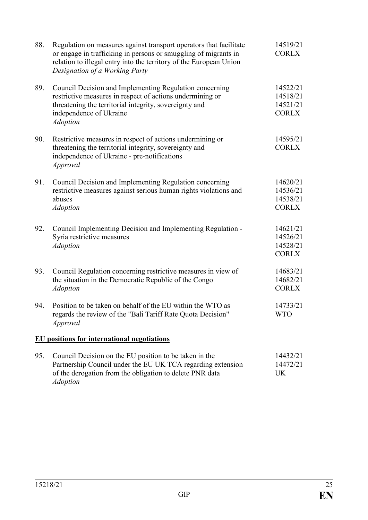| 88. | Regulation on measures against transport operators that facilitate<br>or engage in trafficking in persons or smuggling of migrants in<br>relation to illegal entry into the territory of the European Union<br>Designation of a Working Party | 14519/21<br><b>CORLX</b>                         |
|-----|-----------------------------------------------------------------------------------------------------------------------------------------------------------------------------------------------------------------------------------------------|--------------------------------------------------|
| 89. | Council Decision and Implementing Regulation concerning<br>restrictive measures in respect of actions undermining or<br>threatening the territorial integrity, sovereignty and<br>independence of Ukraine<br><b>Adoption</b>                  | 14522/21<br>14518/21<br>14521/21<br><b>CORLX</b> |
| 90. | Restrictive measures in respect of actions undermining or<br>threatening the territorial integrity, sovereignty and<br>independence of Ukraine - pre-notifications<br>Approval                                                                | 14595/21<br><b>CORLX</b>                         |
| 91. | Council Decision and Implementing Regulation concerning<br>restrictive measures against serious human rights violations and<br>abuses<br><b>Adoption</b>                                                                                      | 14620/21<br>14536/21<br>14538/21<br><b>CORLX</b> |
| 92. | Council Implementing Decision and Implementing Regulation -<br>Syria restrictive measures<br><b>Adoption</b>                                                                                                                                  | 14621/21<br>14526/21<br>14528/21<br><b>CORLX</b> |
| 93. | Council Regulation concerning restrictive measures in view of<br>the situation in the Democratic Republic of the Congo<br><b>Adoption</b>                                                                                                     | 14683/21<br>14682/21<br><b>CORLX</b>             |
| 94. | Position to be taken on behalf of the EU within the WTO as<br>regards the review of the "Bali Tariff Rate Quota Decision"<br>Approval                                                                                                         | 14733/21<br><b>WTO</b>                           |
|     | <b>EU</b> positions for international negotiations                                                                                                                                                                                            |                                                  |
| 95. | Council Decision on the EU position to be taken in the<br>Partnership Council under the EU UK TCA regarding extension<br>of the derogation from the obligation to delete PNR data<br><b>Adoption</b>                                          | 14432/21<br>14472/21<br><b>UK</b>                |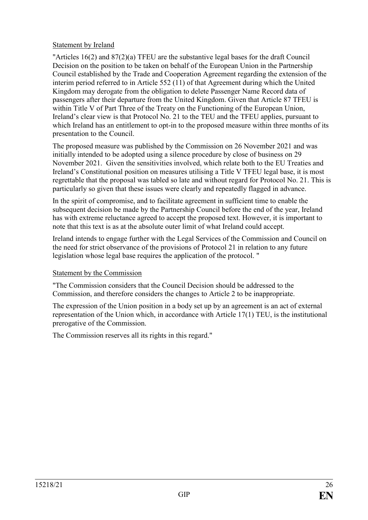### Statement by Ireland

"Articles 16(2) and 87(2)(a) TFEU are the substantive legal bases for the draft Council Decision on the position to be taken on behalf of the European Union in the Partnership Council established by the Trade and Cooperation Agreement regarding the extension of the interim period referred to in Article 552 (11) of that Agreement during which the United Kingdom may derogate from the obligation to delete Passenger Name Record data of passengers after their departure from the United Kingdom. Given that Article 87 TFEU is within Title V of Part Three of the Treaty on the Functioning of the European Union, Ireland's clear view is that Protocol No. 21 to the TEU and the TFEU applies, pursuant to which Ireland has an entitlement to opt-in to the proposed measure within three months of its presentation to the Council.

The proposed measure was published by the Commission on 26 November 2021 and was initially intended to be adopted using a silence procedure by close of business on 29 November 2021. Given the sensitivities involved, which relate both to the EU Treaties and Ireland's Constitutional position on measures utilising a Title V TFEU legal base, it is most regrettable that the proposal was tabled so late and without regard for Protocol No. 21. This is particularly so given that these issues were clearly and repeatedly flagged in advance.

In the spirit of compromise, and to facilitate agreement in sufficient time to enable the subsequent decision be made by the Partnership Council before the end of the year, Ireland has with extreme reluctance agreed to accept the proposed text. However, it is important to note that this text is as at the absolute outer limit of what Ireland could accept.

Ireland intends to engage further with the Legal Services of the Commission and Council on the need for strict observance of the provisions of Protocol 21 in relation to any future legislation whose legal base requires the application of the protocol. "

### Statement by the Commission

"The Commission considers that the Council Decision should be addressed to the Commission, and therefore considers the changes to Article 2 to be inappropriate.

The expression of the Union position in a body set up by an agreement is an act of external representation of the Union which, in accordance with Article 17(1) TEU, is the institutional prerogative of the Commission.

The Commission reserves all its rights in this regard."